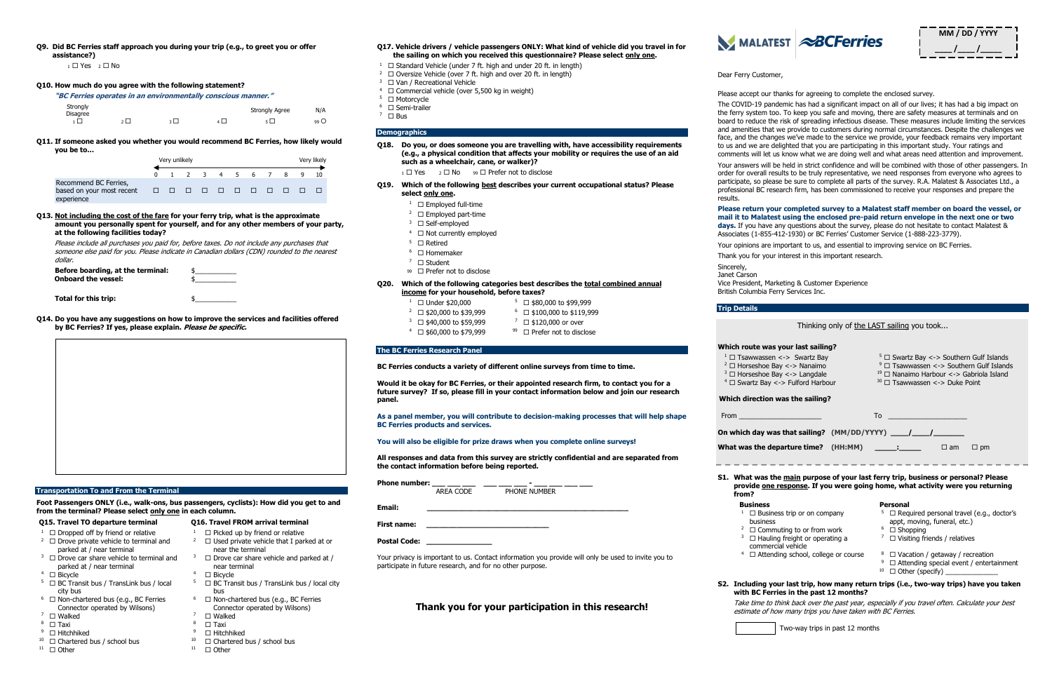**Q9. Did BC Ferries staff approach you during your trip (e.g., to greet you or offer assistance?)**

 $1 \square$  Yes  $2 \square$  No

#### **Q10. How much do you agree with the following statement?**

**"BC Ferries operates in an environmentally conscious manner."**

| Strongly<br><b>Disagree</b> |  | <b>Strongly Agree</b> | N/A  |
|-----------------------------|--|-----------------------|------|
|                             |  | ĿГ                    | 99 O |

**Q11. If someone asked you whether you would recommend BC Ferries, how likely would you be to…**

|                                                                  |               | Very unlikely |  |  |  |                      |  | Very likely |  |  |
|------------------------------------------------------------------|---------------|---------------|--|--|--|----------------------|--|-------------|--|--|
|                                                                  |               |               |  |  |  | 1 2 3 4 5 6 7 8 9 10 |  |             |  |  |
| Recommend BC Ferries,<br>based on your most recent<br>experience | ------------- |               |  |  |  |                      |  |             |  |  |

**Q13. Not including the cost of the fare for your ferry trip, what is the approximate amount you personally spent for yourself, and for any other members of your party, at the following facilities today?**

Please include all purchases you paid for, before taxes. Do not include any purchases that someone else paid for you. Please indicate in Canadian dollars (CDN) rounded to the nearest dollar.

| Before boarding, at the terminal:<br><b>Onboard the vessel:</b> |  |
|-----------------------------------------------------------------|--|
|                                                                 |  |

**Total for this trip:** 

 $6 \square$  Non-chartered bus (e.g., BC Ferries Connector operated by Wilsons)

- **Q17. Vehicle drivers / vehicle passengers ONLY: What kind of vehicle did you travel in for the sailing on which you received this questionnaire? Please select only one.**
- <sup>1</sup>  $\Box$  Standard Vehicle (under 7 ft. high and under 20 ft. in length)
- <sup>2</sup>  $\Box$  Oversize Vehicle (over 7 ft. high and over 20 ft. in length)
- $3 \square$  Van / Recreational Vehicle
- $4 \square$  Commercial vehicle (over 5,500 kg in weight)
- $5 \square$  Motorcycle
- $6 \square$  Semi-trailer  $7 \square$  Bus

**Q14. Do you have any suggestions on how to improve the services and facilities offered by BC Ferries? If yes, please explain. Please be specific.**



#### **Transportation To and From the Terminal**

**Foot Passengers ONLY (i.e., walk-ons, bus passengers, cyclists): How did you get to and from the terminal? Please select only one in each column.**

 $\square$  Used private vehicle that I parked at or

 $\square$  Drove car share vehicle and parked at /

 $5 \Box$  BC Transit bus / TransLink bus / local city

# **Q15. Travel TO departure terminal Q16. Travel FROM arrival terminal**

- <sup>1</sup>  $\Box$  Dropped off by friend or relative  $1 \Box$  Picked up by friend or relative  $2 \square$  Drove private vehicle to terminal and parked at / near terminal
- $3 \square$  Drove car share vehicle to terminal and parked at / near terminal
- $4 \square$  Bicycle
- $5 \square$  BC Transit bus / TransLink bus / local city bus
- $6 \square$  Non-chartered bus (e.g., BC Ferries Connector operated by Wilsons)
- $\begin{array}{ccccc} \text{7} & \Box \text{ Walked} & & & \text{7} & \Box \text{ Walked} & & \text{7} & \Box \text{ Taxi} & & \text{8} & \Box \text{ Taxi} & & \text{9} & \Box \end{array}$
- 
- 
- $9 \Box$  Hitchhiked  $9 \Box$  Phitchhiked  $9 \Box$ <sup>10</sup>  $\Box$  Chartered bus / school bus  $10$   $\Box$  Chartered bus / school bus
- $11 \quad \Box$  Other  $11 \quad \Box$  Other

near the terminal

near terminal<br>□ Bicycle

bus

 $\begin{array}{cc} 8 & \square \text{ Taxi} \\ 9 & \square \text{ Hitchhiked} \end{array}$ 

### **Demographics**

- **Q18. Do you, or does someone you are travelling with, have accessibility requirements (e.g., a physical condition that affects your mobility or requires the use of an aid such as a wheelchair, cane, or walker)?**
	- $_1 \Box$  Yes  $_2 \Box$  No  $_99 \Box$  Prefer not to disclose
- Q19. Which of the following **best** describes your current occupational status? Please **select only one.**
	- $1 \square$  Employed full-time
	- $2 \square$  Employed part-time
	- $3 \square$  Self-employed
	- $4 \square$  Not currently employed
	- $5 \square$  Retired
	- $6$   $\Box$  Homemaker
	-
	- 7 Student 99  $\Box$  Prefer not to disclose
- **Q20. Which of the following categories best describes the total combined annual income for your household, before taxes?**
	- <sup>1</sup>  $\Box$  Under \$20,000 5  $\Box$  \$80,000 to \$99,999
	- $\frac{2}{1}$   $\Box$  \$20,000 to \$39,999  $\Box$  \$100,000 to \$119,999
	- $3 \square$  \$40,000 to \$59,999  $3 \square$  \$120,000 or over
	- $4 \square$  \$60,000 to \$79,999  $99 \square$  Prefer not to disclose
- **The BC Ferries Research Panel**

**S1. What was t provide** one **from?**

### **Business**

- $1 \square$  Busin
- business
- $2 \square$  Comm
- $3 \square$  Hauli commer
- $4 \square$  Atter

# **S2. Including v with BC Fer**

#### **BC Ferries conducts a variety of different online surveys from time to time.**

**Would it be okay for BC Ferries, or their appointed research firm, to contact you for a future survey? If so, please fill in your contact information below and join our research panel.**

|                                                                                                                                           | Thinking only of the LAST sailing you took                                                                            |  |  |  |  |  |
|-------------------------------------------------------------------------------------------------------------------------------------------|-----------------------------------------------------------------------------------------------------------------------|--|--|--|--|--|
|                                                                                                                                           |                                                                                                                       |  |  |  |  |  |
| s your last sailing?                                                                                                                      |                                                                                                                       |  |  |  |  |  |
| n <-> Swartz Bay                                                                                                                          | $5 \square$ Swartz Bay <-> Southern Gulf Islands                                                                      |  |  |  |  |  |
| $9$ $\Box$ Tsawwassen <-> Southern Gulf Islands<br>Bay <-> Nanaimo<br>$19$ $\Box$ Nanaimo Harbour <-> Gabriola Island<br>Bay <-> Langdale |                                                                                                                       |  |  |  |  |  |
| <-> Fulford Harbour                                                                                                                       | $30$ $\Box$ Tsawwassen <-> Duke Point                                                                                 |  |  |  |  |  |
|                                                                                                                                           |                                                                                                                       |  |  |  |  |  |
| <b>was the sailing?</b>                                                                                                                   |                                                                                                                       |  |  |  |  |  |
|                                                                                                                                           | To                                                                                                                    |  |  |  |  |  |
|                                                                                                                                           |                                                                                                                       |  |  |  |  |  |
|                                                                                                                                           |                                                                                                                       |  |  |  |  |  |
| eparture time? (HH:MM) ______:                                                                                                            | $\Box$ am<br>$\Box$ pm                                                                                                |  |  |  |  |  |
|                                                                                                                                           |                                                                                                                       |  |  |  |  |  |
|                                                                                                                                           | he main purpose of your last ferry trip, business or personal? Please                                                 |  |  |  |  |  |
|                                                                                                                                           | <b>Example 2 Feron Service 1 Feron Service Service Service Service Service Service Service Service Service Servic</b> |  |  |  |  |  |
|                                                                                                                                           | <b>Personal</b>                                                                                                       |  |  |  |  |  |
| ess trip or on company                                                                                                                    | $5 \square$ Required personal travel (e.g., doctor's                                                                  |  |  |  |  |  |
| s                                                                                                                                         | appt, moving, funeral, etc.)                                                                                          |  |  |  |  |  |
| muting to or from work                                                                                                                    | $6$ $\Box$ Shopping                                                                                                   |  |  |  |  |  |
| ing freight or operating a<br>rcial vehicle                                                                                               | $^7$ $\Box$ Visiting friends / relatives                                                                              |  |  |  |  |  |
| ding school, college or course                                                                                                            | <sup>8</sup> $\Box$ Vacation / getaway / recreation                                                                   |  |  |  |  |  |
|                                                                                                                                           | 9<br>$\Box$ Attending special event / entertainment                                                                   |  |  |  |  |  |
|                                                                                                                                           |                                                                                                                       |  |  |  |  |  |
| ries in the past 12 months?                                                                                                               | our last trip, how many return trips (i.e., two-way trips) have you taken                                             |  |  |  |  |  |

**As a panel member, you will contribute to decision-making processes that will help shape BC Ferries products and services.** 

**You will also be eligible for prize draws when you complete online surveys!**

**All responses and data from this survey are strictly confidential and are separated from the contact information before being reported.**

**Phone number:**  $\frac{1}{\Delta RFA \text{ CODE}}$ **PHONE NUMBER** 

**Email: \_\_\_\_\_\_\_\_\_\_\_\_\_\_\_\_\_\_\_\_\_\_\_\_\_\_\_\_\_\_\_\_\_\_\_\_\_\_\_\_\_\_\_\_\_\_**

**First name: \_\_\_\_\_\_\_\_\_\_\_\_\_\_\_\_\_\_\_\_\_\_\_\_\_\_\_\_**

**Postal Code: \_\_\_\_\_\_\_\_\_\_\_\_\_\_\_**

Your privacy is important to us. Contact information you provide will only be used to invite you to participate in future research, and for no other purpose.

# **Thank you for your participation in this research!**



### Dear Ferry Customer,

Please accept our thanks for agreeing to complete the enclosed survey.

The COVID-19 pandemic has had a significant impact on all of our lives; it has had a big impact on the ferry system too. To keep you safe and moving, there are safety measures at terminals and on board to reduce the risk of spreading infectious disease. These measures include limiting the services and amenities that we provide to customers during normal circumstances. Despite the challenges we face, and the changes we've made to the service we provide, your feedback remains very important to us and we are delighted that you are participating in this important study. Your ratings and comments will let us know what we are doing well and what areas need attention and improvement.

Your answers will be held in strict confidence and will be combined with those of other passengers. In order for overall results to be truly representative, we need responses from everyone who agrees to participate, so please be sure to complete all parts of the survey. R.A. Malatest & Associates Ltd., a professional BC research firm, has been commissioned to receive your responses and prepare the results.

#### **Please return your completed survey to a Malatest staff member on board the vessel, or mail it to Malatest using the enclosed pre-paid return envelope in the next one or two days.** If you have any questions about the survey, please do not hesitate to contact Malatest & Associates (1-855-412-1930) or BC Ferries' Customer Service (1-888-223-3779).

Your opinions are important to us, and essential to improving service on BC Ferries.

Thank you for your interest in this important research.

Sincerely, Janet Carson

Vice President, Marketing & Customer Experience British Columbia Ferry Services Inc.

#### **Trip Details**

#### **Which route wa**

- $1 \square$  Tsawwasse
- $2 \square$  Horseshoe  $\blacksquare$
- $3 \square$  Horseshoe I
- $4 \square$  Swartz Bay

### **Which direction**

From \_\_\_\_\_\_\_\_\_\_\_\_\_\_\_\_\_\_\_\_\_\_

**On which day w** 

### **What was the departure the departure track**

 $\frac{1}{2}$ 

Take time to think back over the past year, especially if you travel often. Calculate your best estimate of how many trips you have taken with BC Ferries.



Two-way trips in past 12 months